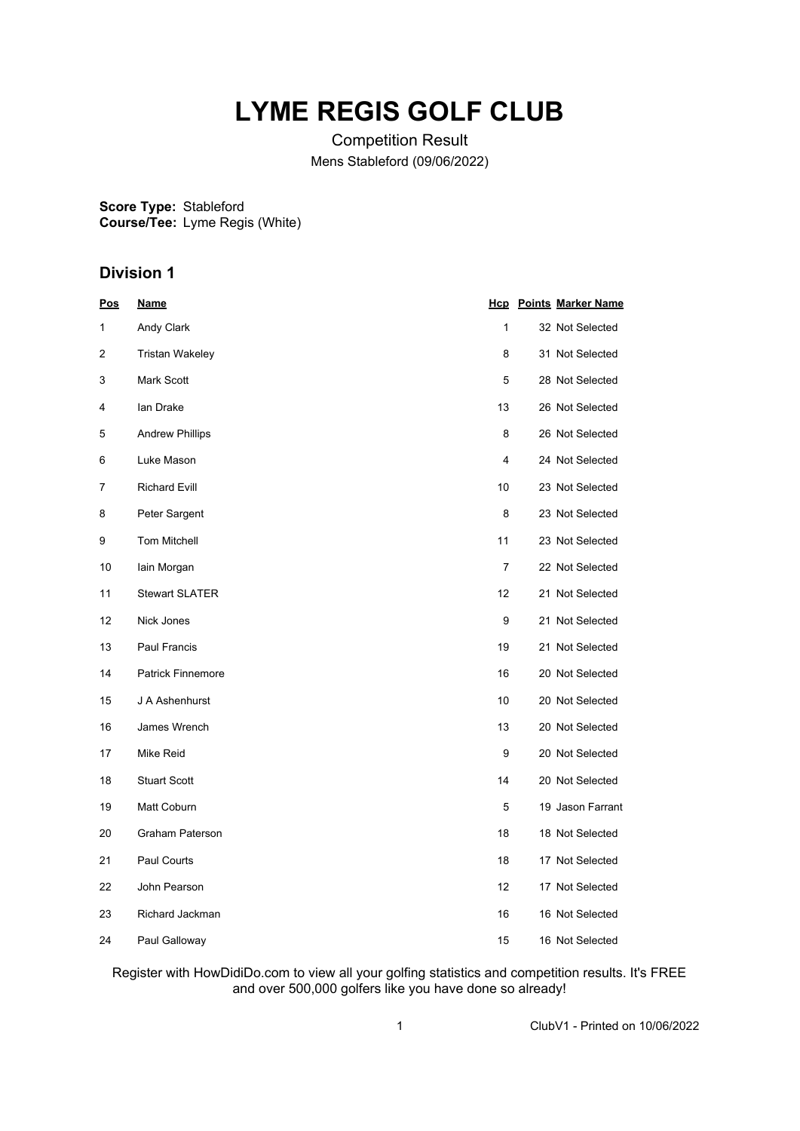## **LYME REGIS GOLF CLUB**

Competition Result Mens Stableford (09/06/2022)

**Score Type:** Stableford **Course/Tee:** Lyme Regis (White)

## **Division 1**

| Pos | <u>Name</u>              |              | <b>Hcp</b> Points Marker Name |
|-----|--------------------------|--------------|-------------------------------|
| 1   | Andy Clark               | $\mathbf{1}$ | 32 Not Selected               |
| 2   | <b>Tristan Wakeley</b>   | 8            | 31 Not Selected               |
| 3   | Mark Scott               | 5            | 28 Not Selected               |
| 4   | lan Drake                | 13           | 26 Not Selected               |
| 5   | <b>Andrew Phillips</b>   | 8            | 26 Not Selected               |
| 6   | Luke Mason               | 4            | 24 Not Selected               |
| 7   | <b>Richard Evill</b>     | 10           | 23 Not Selected               |
| 8   | Peter Sargent            | 8            | 23 Not Selected               |
| 9   | <b>Tom Mitchell</b>      | 11           | 23 Not Selected               |
| 10  | lain Morgan              | 7            | 22 Not Selected               |
| 11  | <b>Stewart SLATER</b>    | 12           | 21 Not Selected               |
| 12  | Nick Jones               | 9            | 21 Not Selected               |
| 13  | Paul Francis             | 19           | 21 Not Selected               |
| 14  | <b>Patrick Finnemore</b> | 16           | 20 Not Selected               |
| 15  | J A Ashenhurst           | 10           | 20 Not Selected               |
| 16  | James Wrench             | 13           | 20 Not Selected               |
| 17  | Mike Reid                | 9            | 20 Not Selected               |
| 18  | <b>Stuart Scott</b>      | 14           | 20 Not Selected               |
| 19  | Matt Coburn              | 5            | 19 Jason Farrant              |
| 20  | <b>Graham Paterson</b>   | 18           | 18 Not Selected               |
| 21  | Paul Courts              | 18           | 17 Not Selected               |
| 22  | John Pearson             | 12           | 17 Not Selected               |
| 23  | Richard Jackman          | 16           | 16 Not Selected               |
| 24  | Paul Galloway            | 15           | 16 Not Selected               |

Register with HowDidiDo.com to view all your golfing statistics and competition results. It's FREE and over 500,000 golfers like you have done so already!